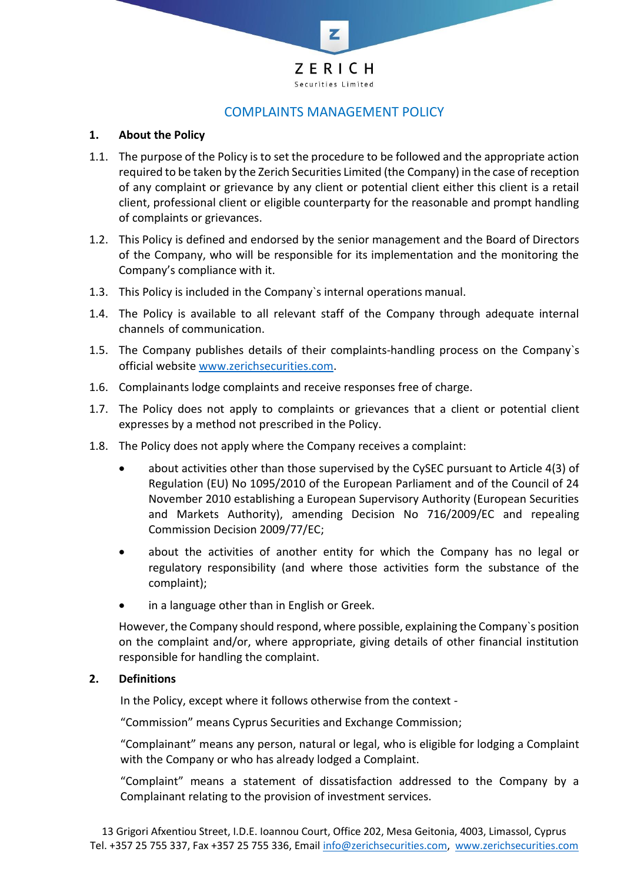

# COMPLAINTS MANAGEMENT POLICY

#### **1. About the Policy**

- 1.1. The purpose of the Policy is to set the procedure to be followed and the appropriate action required to be taken by the Zerich Securities Limited (the Company) in the case of reception of any complaint or grievance by any client or potential client either this client is a retail client, professional client or eligible counterparty for the reasonable and prompt handling of complaints or grievances.
- 1.2. This Policy is defined and endorsed by the senior management and the Board of Directors of the Company, who will be responsible for its implementation and the monitoring the Company's compliance with it.
- 1.3. This Policy is included in the Company`s internal operations manual.
- 1.4. The Policy is available to all relevant staff of the Company through adequate internal channels of communication.
- 1.5. The Company publishes details of their complaints-handling process on the Company`s official website [www.zerichsecurities.com.](http://www.zerichsecurities.com/)
- 1.6. Complainants lodge complaints and receive responses free of charge.
- 1.7. The Policy does not apply to complaints or grievances that a client or potential client expresses by a method not prescribed in the Policy.
- 1.8. The Policy does not apply where the Company receives a complaint:
	- about activities other than those supervised by the CySEC pursuant to Article 4(3) of Regulation (EU) No 1095/2010 of the European Parliament and of the Council of 24 November 2010 establishing a European Supervisory Authority (European Securities and Markets Authority), amending Decision No 716/2009/EC and repealing Commission Decision 2009/77/EC;
	- about the activities of another entity for which the Company has no legal or regulatory responsibility (and where those activities form the substance of the complaint);
	- in a language other than in English or Greek.

However, the Company should respond, where possible, explaining the Company`s position on the complaint and/or, where appropriate, giving details of other financial institution responsible for handling the complaint.

#### **2. Definitions**

In the Policy, except where it follows otherwise from the context -

"Commission" means Cyprus Securities and Exchange Commission;

"Complainant" means any person, natural or legal, who is eligible for lodging a Complaint with the Company or who has already lodged a Complaint.

"Complaint" means a statement of dissatisfaction addressed to the Company by a Complainant relating to the provision of investment services.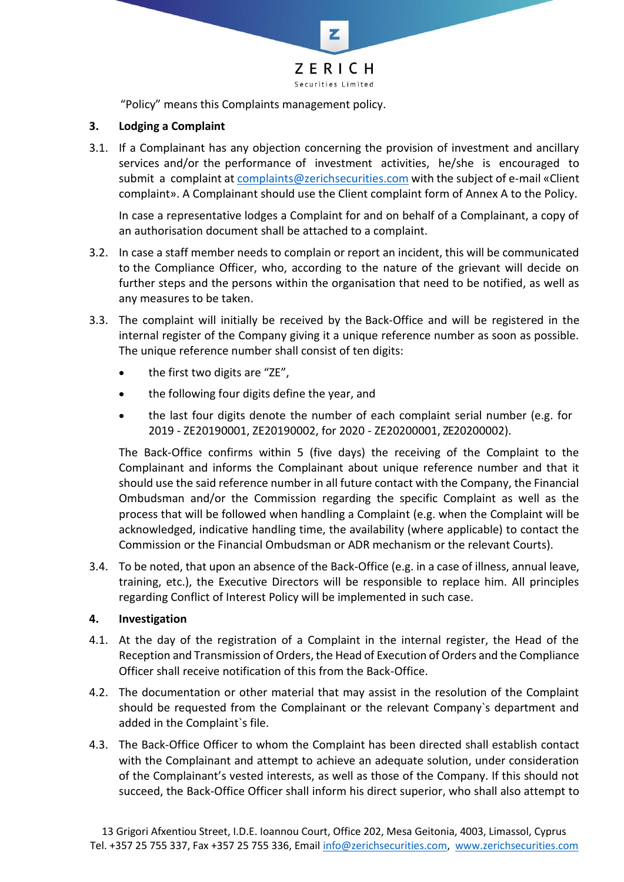

"Policy" means this Complaints management policy.

### **3. Lodging a Complaint**

3.1. If a Complainant has any objection concerning the provision of investment and ancillary services and/or the performance of investment activities, he/she is encouraged to submit a complaint at [complaints@zerichsecurities.com](mailto:complaints@zerichsecurities.com) with the subject of e-mail «Client complaint». A Complainant should use the Client complaint form of Annex A to the Policy.

In case a representative lodges a Complaint for and on behalf of a Complainant, a copy of an authorisation document shall be attached to a complaint.

- 3.2. In case a staff member needs to complain or report an incident, this will be communicated to the Compliance Officer, who, according to the nature of the grievant will decide on further steps and the persons within the organisation that need to be notified, as well as any measures to be taken.
- 3.3. The complaint will initially be received by the Back-Office and will be registered in the internal register of the Company giving it a unique reference number as soon as possible. The unique reference number shall consist of ten digits:
	- the first two digits are "ZE",
	- the following four digits define the year, and
	- the last four digits denote the number of each complaint serial number (e.g. for 2019 - ZE20190001, ZE20190002, for 2020 - ZE20200001, ZE20200002).

The Back-Office confirms within 5 (five days) the receiving of the Complaint to the Complainant and informs the Complainant about unique reference number and that it should use the said reference number in all future contact with the Company, the Financial Ombudsman and/or the Commission regarding the specific Complaint as well as the process that will be followed when handling a Complaint (e.g. when the Complaint will be acknowledged, indicative handling time, the availability (where applicable) to contact the Commission or the Financial Ombudsman or ADR mechanism or the relevant Courts).

3.4. To be noted, that upon an absence of the Back-Office (e.g. in a case of illness, annual leave, training, etc.), the Executive Directors will be responsible to replace him. All principles regarding Conflict of Interest Policy will be implemented in such case.

#### **4. Investigation**

- 4.1. At the day of the registration of a Complaint in the internal register, the Head of the Reception and Transmission of Orders, the Head of Execution of Orders and the Compliance Officer shall receive notification of this from the Back-Office.
- 4.2. The documentation or other material that may assist in the resolution of the Complaint should be requested from the Complainant or the relevant Company`s department and added in the Complaint`s file.
- 4.3. The Back-Office Officer to whom the Complaint has been directed shall establish contact with the Complainant and attempt to achieve an adequate solution, under consideration of the Complainant's vested interests, as well as those of the Company. If this should not succeed, the Back-Office Officer shall inform his direct superior, who shall also attempt to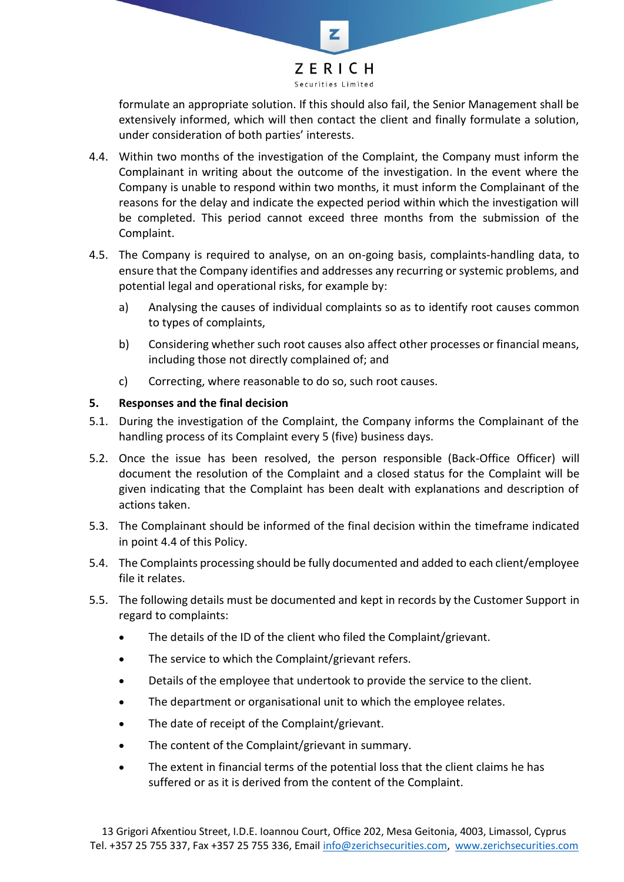

formulate an appropriate solution. If this should also fail, the Senior Management shall be extensively informed, which will then contact the client and finally formulate a solution, under consideration of both parties' interests.

- 4.4. Within two months of the investigation of the Complaint, the Company must inform the Complainant in writing about the outcome of the investigation. In the event where the Company is unable to respond within two months, it must inform the Complainant of the reasons for the delay and indicate the expected period within which the investigation will be completed. This period cannot exceed three months from the submission of the Complaint.
- 4.5. The Company is required to analyse, on an on-going basis, complaints-handling data, to ensure that the Company identifies and addresses any recurring or systemic problems, and potential legal and operational risks, for example by:
	- a) Analysing the causes of individual complaints so as to identify root causes common to types of complaints,
	- b) Considering whether such root causes also affect other processes or financial means, including those not directly complained of; and
	- c) Correcting, where reasonable to do so, such root causes.

### **5. Responses and the final decision**

- 5.1. During the investigation of the Complaint, the Company informs the Complainant of the handling process of its Complaint every 5 (five) business days.
- 5.2. Once the issue has been resolved, the person responsible (Back-Office Officer) will document the resolution of the Complaint and a closed status for the Complaint will be given indicating that the Complaint has been dealt with explanations and description of actions taken.
- 5.3. The Complainant should be informed of the final decision within the timeframe indicated in point 4.4 of this Policy.
- 5.4. The Complaints processing should be fully documented and added to each client/employee file it relates.
- 5.5. The following details must be documented and kept in records by the Customer Support in regard to complaints:
	- The details of the ID of the client who filed the Complaint/grievant.
	- The service to which the Complaint/grievant refers.
	- Details of the employee that undertook to provide the service to the client.
	- The department or organisational unit to which the employee relates.
	- The date of receipt of the Complaint/grievant.
	- The content of the Complaint/grievant in summary.
	- The extent in financial terms of the potential loss that the client claims he has suffered or as it is derived from the content of the Complaint.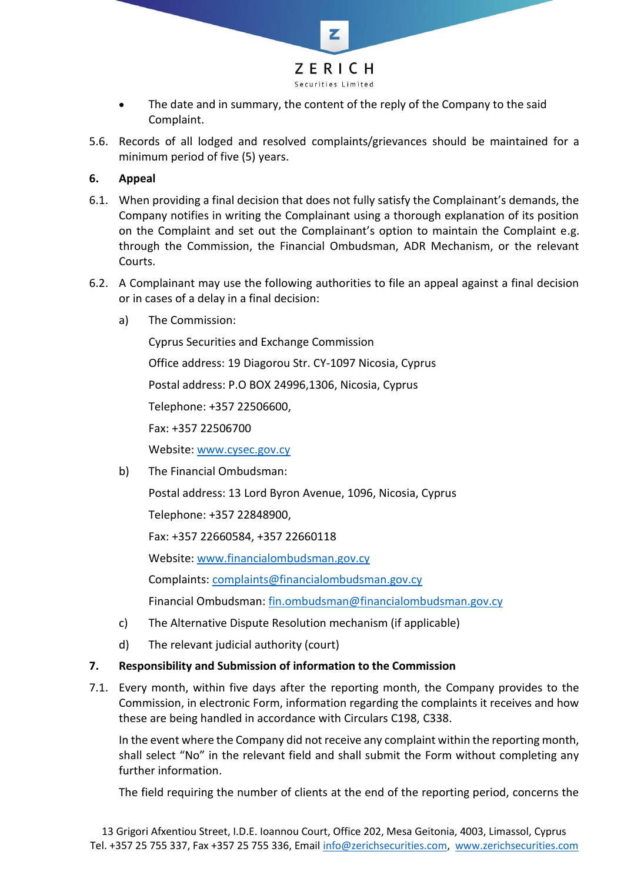

- The date and in summary, the content of the reply of the Company to the said Complaint.
- 5.6. Records of all lodged and resolved complaints/grievances should be maintained for a minimum period of five (5) years.

## **6. Appeal**

- 6.1. When providing a final decision that does not fully satisfy the Complainant's demands, the Company notifies in writing the Complainant using a thorough explanation of its position on the Complaint and set out the Complainant's option to maintain the Complaint e.g. through the Commission, the Financial Ombudsman, ADR Mechanism, or the relevant Courts.
- 6.2. A Complainant may use the following authorities to file an appeal against a final decision or in cases of a delay in a final decision:
	- a) The Commission:

Cyprus Securities and Exchange Commission Office address: 19 Diagorou Str. CY-1097 Nicosia, Cyprus Postal address: P.O BOX 24996,1306, Nicosia, Cyprus Telephone: +357 22506600, Fax: +357 22506700 Website: [www.cysec.gov.cy](http://www.cysec.gov.cy/)

b) The Financial Ombudsman:

Postal address: 13 Lord Byron Avenue, 1096, Nicosia, Cyprus

Telephone: +357 22848900,

Fax: +357 22660584, +357 22660118

Website: [www.financialombudsman.gov.cy](http://www.financialombudsman.gov.cy/)

Complaints: [complaints@financialombudsman.gov.cy](mailto:complaints@financialombudsman.gov.cy)

Financial Ombudsman: [fin.ombudsman@financialombudsman.gov.cy](mailto:fin.ombudsman@financialombudsman.gov.cy)

- c) The Alternative Dispute Resolution mechanism (if applicable)
- d) The relevant judicial authority (court)

## **7. Responsibility and Submission of information to the Commission**

7.1. Every month, within five days after the reporting month, the Company provides to the Commission, in electronic Form, information regarding the complaints it receives and how these are being handled in accordance with Circulars C198, С338.

In the event where the Company did not receive any complaint within the reporting month, shall select "No" in the relevant field and shall submit the Form without completing any further information.

The field requiring the number of clients at the end of the reporting period, concerns the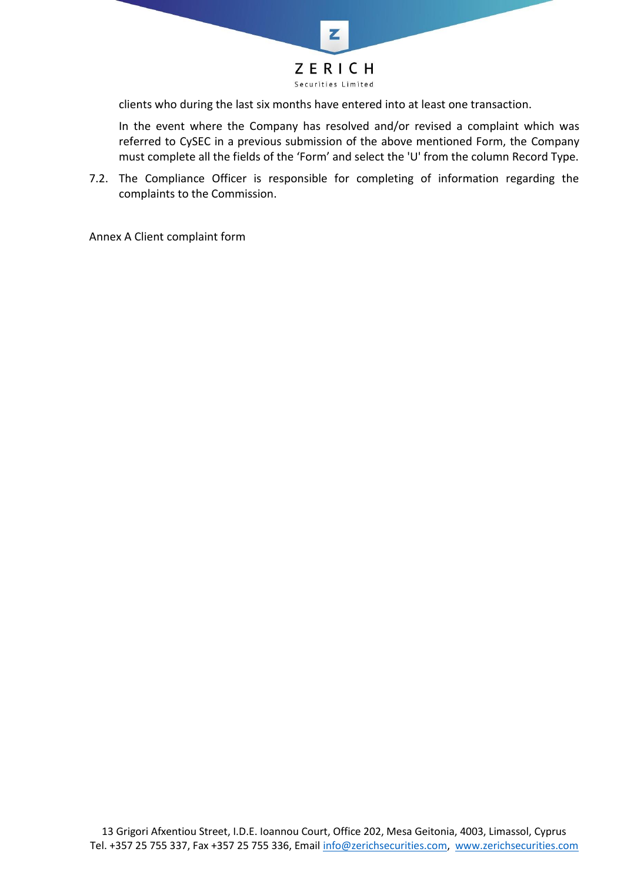

clients who during the last six months have entered into at least one transaction.

In the event where the Company has resolved and/or revised a complaint which was referred to CySEC in a previous submission of the above mentioned Form, the Company must complete all the fields of the 'Form' and select the 'U' from the column Record Type.

7.2. The Compliance Officer is responsible for completing of information regarding the complaints to the Commission.

Annex A Client complaint form